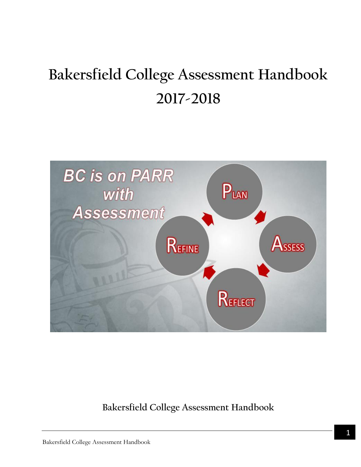# **Bakersfield College Assessment Handbook 2017-2018**



**Bakersfield College Assessment Handbook**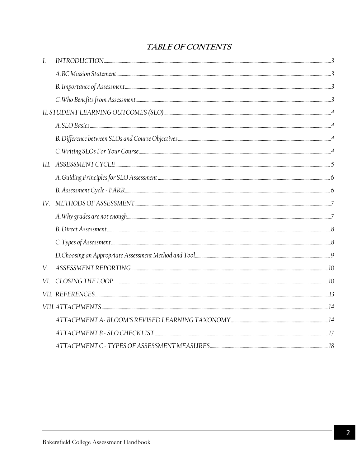## TABLE OF CONTENTS

| I.  |  |
|-----|--|
|     |  |
|     |  |
|     |  |
|     |  |
|     |  |
|     |  |
|     |  |
|     |  |
|     |  |
|     |  |
|     |  |
|     |  |
|     |  |
|     |  |
|     |  |
| V.  |  |
| VI. |  |
|     |  |
|     |  |
|     |  |
|     |  |
|     |  |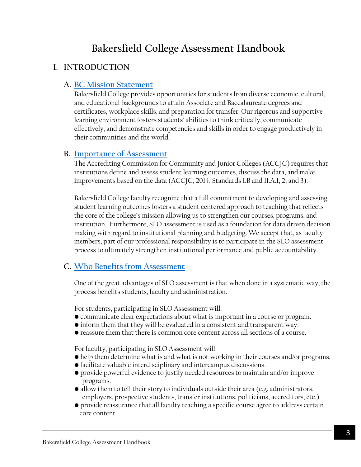# **Bakersfield College Assessment Handbook**

## <span id="page-2-0"></span>**I. INTRODUCTION**

## <span id="page-2-1"></span>**A. [BC Mission Statement](#page-2-1)**

Bakersfield College provides opportunities for students from diverse economic, cultural, and educational backgrounds to attain Associate and Baccalaureate degrees and certificates, workplace skills, and preparation for transfer. Our rigorous and supportive learning environment fosters students' abilities to think critically, communicate effectively, and demonstrate competencies and skills in order to engage productively in their communities and the world.

## <span id="page-2-2"></span>**B. [Importance of](#page-2-2) Assessment**

The Accrediting Commission for Community and Junior Colleges (ACCJC) requires that institutions define and assess student learning outcomes, discuss the data, and make improvements based on the data (ACCJC, 2014, Standards I.B and II.A.1, 2, and 3).

Bakersfield College faculty recognize that a full commitment to developing and assessing student learning outcomes fosters a student centered approach to teaching that reflects the core of the college's mission allowing us to strengthen our courses, programs, and institution. Furthermore, SLO assessment is used as a foundation for data driven decision making with regard to institutional planning and budgeting. We accept that, as faculty members, part of our professional responsibility is to participate in the SLO assessment process to ultimately strengthen institutional performance and public accountability.

## <span id="page-2-3"></span>**C. Who Benefits from Assessment**

One of the great advantages of SLO assessment is that when done in a systematic way, the process benefits students, faculty and administration.

For students, participating in SLO Assessment will:

- communicate clear expectations about what is important in a course or program.
- inform them that they will be evaluated in a consistent and transparent way.
- reassure them that there is common core content across all sections of a course.

For faculty, participating in SLO Assessment will:

- help them determine what is and what is not working in their courses and/or programs.
- facilitate valuable interdisciplinary and intercampus discussions.
- provide powerful evidence to justify needed resources to maintain and/or improve programs.
- allow them to tell their story to individuals outside their area (e.g. administrators, employers, prospective students, transfer institutions, politicians, accreditors, etc.).
- provide reassurance that all faculty teaching a specific course agree to address certain core content.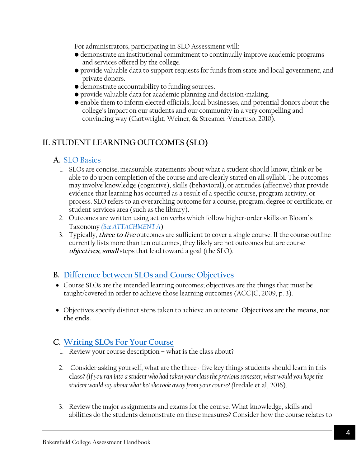For administrators, participating in SLO Assessment will:

- demonstrate an institutional commitment to continually improve academic programs and services offered by the college.
- provide valuable data to support requests for funds from state and local government, and private donors.
- demonstrate accountability to funding sources.
- provide valuable data for academic planning and decision-making.
- enable them to inform elected officials, local businesses, and potential donors about the college's impact on our students and our community in a very compelling and convincing way (Cartwright, Weiner, & Streamer-Veneruso, 2010).

## <span id="page-3-4"></span><span id="page-3-0"></span>**II. STUDENT LEARNING OUTCOMES (SLO)**

## <span id="page-3-1"></span>**A.** SLO [Basics](#page-3-4)

- 1. SLOs are concise, measurable statements about what a student should know, think or be able to do upon completion of the course and are clearly stated on all syllabi. The outcomes may involve knowledge (cognitive), skills (behavioral), or attitudes (affective) that provide evidence that learning has occurred as a result of a specific course, program activity, or process. SLO refers to an overarching outcome for a course, program, degree or certificate, or student services area (such as the library).
- 2. Outcomes are written using action verbs which follow higher-order skills on Bloom's Taxonomy *[\(See](#page-13-2) ATTACHMENT A*)
- 3. Typically, **three to five** outcomes are sufficient to cover a single course. If the course outline currently lists more than ten outcomes, they likely are not outcomes but are course **objectives, small** steps that lead toward a goal (the SLO).

## <span id="page-3-5"></span><span id="page-3-2"></span>**B. [Difference between SLOs](#page-3-5) and Course Objectives**

- Course SLOs are the intended learning outcomes; objectives are the things that must be taught/covered in order to achieve those learning outcomes (ACCJC, 2009, p. 3).
- Objectives specify distinct steps taken to achieve an outcome. **Objectives are the means, not the ends.**

## <span id="page-3-6"></span><span id="page-3-3"></span>**C. [Writing SLOs For Your Course](#page-3-6)**

- 1. Review your course description what is the class about?
- 2. Consider asking yourself, what are the three five key things students should learn in this class?*(If you ran into a student who had taken your class the previous semester, what would you hope the student would say about what he/ she took away from your course? (*Iredale et al, 2016).
- 3. Review the major assignments and exams for the course. What knowledge, skills and abilities do the students demonstrate on these measures? Consider how the course relates to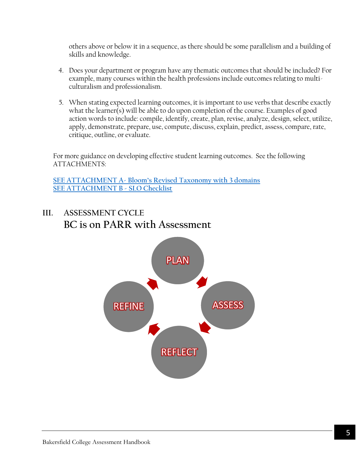others above or below it in a sequence, as there should be some parallelism and a building of skills and knowledge.

- 4. Does your department or program have any thematic outcomes that should be included? For example, many courses within the health professions include outcomes relating to multiculturalism and professionalism.
- 5. When stating expected learning outcomes, it is important to use verbs that describe exactly what the learner(s) will be able to do upon completion of the course. Examples of good action words to include: compile, identify, create, plan, revise, analyze, design, select, utilize, apply, demonstrate, prepare, use, compute, discuss, explain, predict, assess, compare, rate, critique, outline, or evaluate.

For more guidance on developing effective student learning outcomes. See the following ATTACHMENTS:

**SEE ATTACHMENT A- Bloom's [Revised Taxonomy with 3 domains](#page-13-2) [SEE ATTACHMENT B](#page-16-0) - SLO Checklist**

# <span id="page-4-0"></span>**III. ASSESSMENT CYCLE BC is on PARR with Assessment**

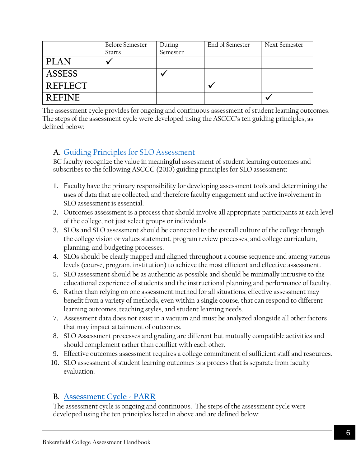|               | Before Semester<br><b>Starts</b> | During<br>Semester | End of Semester | Next Semester |
|---------------|----------------------------------|--------------------|-----------------|---------------|
| <b>PLAN</b>   |                                  |                    |                 |               |
| <b>ASSESS</b> |                                  |                    |                 |               |
| REFLECT       |                                  |                    |                 |               |
| <b>REFINE</b> |                                  |                    |                 |               |

The assessment cycle provides for ongoing and continuous assessment of student learning outcomes. The steps of the assessment cycle were developed using the ASCCC's ten guiding principles, as defined below:

## <span id="page-5-2"></span><span id="page-5-0"></span>**A.** [Guiding Principles for SLO Assessment](#page-5-2)

BC faculty recognize the value in meaningful assessment of student learning outcomes and subscribes to the following ASCCC (2010) guiding principles for SLO assessment:

- 1. Faculty have the primary responsibility for developing assessment tools and determining the uses of data that are collected, and therefore faculty engagement and active involvement in SLO assessment is essential.
- 2. Outcomes assessment is a process that should involve all appropriate participants at each level of the college, not just select groups or individuals.
- 3. SLOs and SLO assessment should be connected to the overall culture of the college through the college vision or values statement, program review processes, and college curriculum, planning, and budgeting processes.
- 4. SLOs should be clearly mapped and aligned throughout a course sequence and among various levels (course, program, institution) to achieve the most efficient and effective assessment.
- 5. SLO assessment should be as authentic as possible and should be minimally intrusive to the educational experience of students and the instructional planning and performance of faculty.
- 6. Rather than relying on one assessment method for all situations, effective assessment may benefit from a variety of methods, even within a single course, that can respond to different learning outcomes, teaching styles, and student learning needs.
- 7. Assessment data does not exist in a vacuum and must be analyzed alongside all other factors that may impact attainment of outcomes.
- 8. SLO Assessment processes and grading are different but mutually compatible activities and should complement rather than conflict with each other.
- 9. Effective outcomes assessment requires a college commitment of sufficient staff and resources.
- 10. SLO assessment of student learning outcomes is a process that is separate from faculty evaluation.

## <span id="page-5-3"></span><span id="page-5-1"></span>**B. [Assessment Cycle](#page-5-3) - PARR**

The assessment cycle is ongoing and continuous. The steps of the assessment cycle were developed using the ten principles listed in above and are defined below: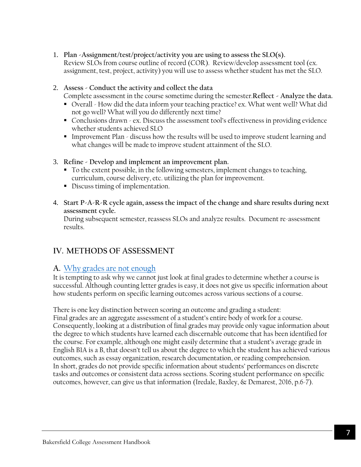- 1. **Plan -Assignment/test/project/activity you are using to assess the SLO(s).** Review SLOs from course outline of record (COR). Review/develop assessment tool (ex. assignment, test, project, activity) you will use to assess whether student has met the SLO.
- 2. **Assess - Conduct the activity and collect the data**

Complete assessment in the course sometime during the semester.**Reflect - Analyze the data.**

- Overall How did the data inform your teaching practice? ex. What went well? What did not go well? What will you do differently next time?
- Conclusions drawn ex. Discuss the assessment tool's effectiveness in providing evidence whether students achieved SLO
- Improvement Plan discuss how the results will be used to improve student learning and what changes will be made to improve student attainment of the SLO.
- 3. **Refine - Develop and implement an improvement plan.**
	- To the extent possible, in the following semesters, implement changes to teaching, curriculum, course delivery, etc. utilizing the plan for improvement.
	- Discuss timing of implementation.
- 4. **Start P-A-R-R cycle again, assess the impact of the change and share results during next assessment cycle.**

During subsequent semester, reassess SLOs and analyze results. Document re-assessment results.

## <span id="page-6-0"></span>**IV. METHODS OF ASSESSMENT**

## <span id="page-6-2"></span><span id="page-6-1"></span>**A.** [Why grades are not enough](#page-6-2)

It is tempting to ask why we cannot just look at final grades to determine whether a course is successful. Although counting letter grades is easy, it does not give us specific information about how students perform on specific learning outcomes across various sections of a course.

There is one key distinction between scoring an outcome and grading a student: Final grades are an aggregate assessment of a student's entire body of work for a course. Consequently, looking at a distribution of final grades may provide only vague information about the degree to which students have learned each discernable outcome that has been identified for the course. For example, although one might easily determine that a student's average grade in English B1A is a B, that doesn't tell us about the degree to which the student has achieved various outcomes, such as essay organization, research documentation, or reading comprehension. In short, grades do not provide specific information about students' performances on discrete tasks and outcomes or consistent data across sections. Scoring student performance on specific outcomes, however, can give us that information (Iredale, Baxley, & Demarest, 2016, p.6-7).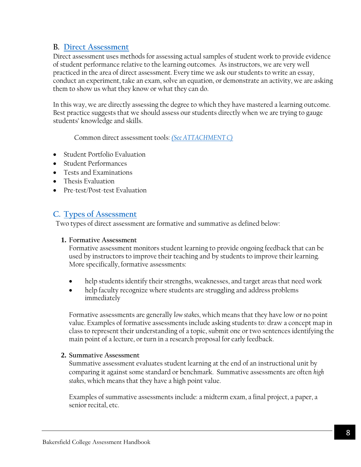## <span id="page-7-0"></span>**B. [Direct Assessment](#page-7-0)**

Direct assessment uses methods for assessing actual samples of student work to provide evidence of student performance relative to the learning outcomes. As instructors, we are very well practiced in the area of direct assessment. Every time we ask our students to write an essay, conduct an experiment, take an exam, solve an equation, or demonstrate an activity, we are asking them to show us what they know or what they can do.

In this way, we are directly assessing the degree to which they have mastered a learning outcome. Best practice suggests that we should assess our students directly when we are trying to gauge students' knowledge and skills.

Common direct assessment tools: *[\(See ATTACHMENT](#page-16-0) C)*

- Student Portfolio Evaluation
- Student Performances
- Tests and Examinations
- Thesis Evaluation
- Pre-test/Post-test Evaluation

## <span id="page-7-2"></span><span id="page-7-1"></span>**C. [Types of Assessment](#page-7-2)**

Two types of direct assessment are formative and summative as defined below:

#### **1. Formative Assessment**

Formative assessment monitors student learning to provide ongoing feedback that can be used by instructors to improve their teaching and by students to improve their learning. More specifically, formative assessments:

- help students identify their strengths, weaknesses, and target areas that need work
- help faculty recognize where students are struggling and address problems immediately

Formative assessments are generally *low stakes*, which means that they have low or no point value. Examples of formative assessments include asking students to: draw a concept map in class to represent their understanding of a topic, submit one or two sentences identifying the main point of a lecture, or turn in a research proposal for early feedback.

#### **2. Summative Assessment**

Summative assessment evaluates student learning at the end of an instructional unit by comparing it against some standard or benchmark. Summative assessments are often *high stakes*, which means that they have a high point value.

Examples of summative assessments include: a midterm exam, a final project, a paper, a senior recital, etc.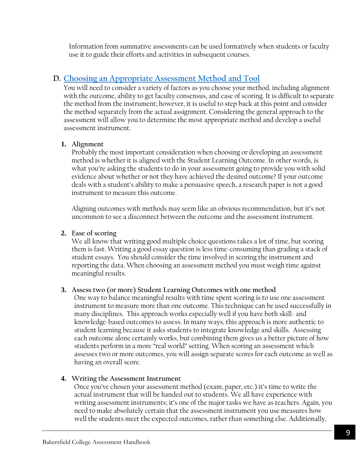Information from summative assessments can be used formatively when students or faculty use it to guide their efforts and activities in subsequent courses.

## <span id="page-8-1"></span><span id="page-8-0"></span>**D. [Choosing an Appropriate Assessment Method and Tool](#page-8-1)**

You will need to consider a variety of factors as you choose your method, including alignment with the outcome, ability to get faculty consensus, and ease of scoring. It is difficult to separate the method from the instrument; however, it is useful to step back at this point and consider the method separately from the actual assignment. Considering the general approach to the assessment will allow you to determine the most appropriate method and develop a useful assessment instrument.

#### **1. Alignment**

Probably the most important consideration when choosing or developing an assessment method is whether it is aligned with the Student Learning Outcome. In other words, is what you're asking the students to do in your assessment going to provide you with solid evidence about whether or not they have achieved the desired outcome? If your outcome deals with a student's ability to make a persuasive speech, a research paper is not a good instrument to measure this outcome.

Aligning outcomes with methods may seem like an obvious recommendation, but it's not uncommon to see a disconnect between the outcome and the assessment instrument.

#### **2. Ease of scoring**

We all know that writing good multiple choice questions takes a lot of time, but scoring them is fast. Writing a good essay question is less time-consuming than grading a stack of student essays. You should consider the time involved in scoring the instrument and reporting the data. When choosing an assessment method you must weigh time against meaningful results.

#### **3. Assess two (or more) Student Learning Outcomes with one method**

One way to balance meaningful results with time spent scoring is to use one assessment instrument to measure more than one outcome. This technique can be used successfully in many disciplines. This approach works especially well if you have both skill- and knowledge-based outcomes to assess. In many ways, this approach is more authentic to student learning because it asks students to integrate knowledge and skills. Assessing each outcome alone certainly works, but combining them gives us a better picture of how students perform in a more "real world" setting. When scoring an assessment which assesses two or more outcomes, you will assign separate scores for each outcome as well as having an overall score.

#### **4. Writing the Assessment Instrument**

Once you've chosen your assessment method (exam, paper, etc.) it's time to write the actual instrument that will be handed out to students. We all have experience with writing assessment instruments; it's one of the major tasks we have as teachers. Again, you need to make absolutely certain that the assessment instrument you use measures how well the students meet the expected outcomes, rather than something else. Additionally,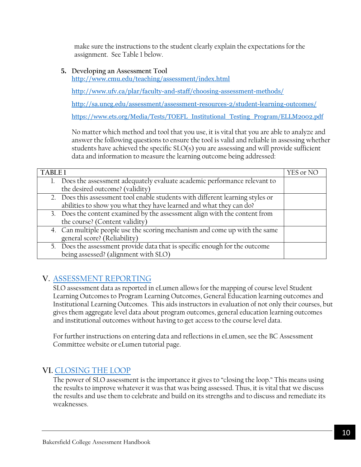make sure the instructions to the student clearly explain the expectations for the assignment. See Table 1 below.

**5. Developing an Assessment Tool**

<http://www.cmu.edu/teaching/assessment/index.html>

<http://www.ufv.ca/plar/faculty-and-staff/choosing-assessment-methods/>

<http://sa.uncg.edu/assessment/assessment-resources-2/student-learning-outcomes/>

[https://www.ets.org/Media/Tests/TOEFL\\_Institutional\\_Testing\\_Program/ELLM2002.pdf](https://www.ets.org/Media/Tests/TOEFL_Institutional_Testing_Program/ELLM2002.pdf)

No matter which method and tool that you use, it is vital that you are able to analyze and answer the following questions to ensure the tool is valid and reliable in assessing whether students have achieved the specific SLO(s) you are assessing and will provide sufficient data and information to measure the learning outcome being addressed:

| <b>TABLE1</b>                                                                  |  |
|--------------------------------------------------------------------------------|--|
| Does the assessment adequately evaluate academic performance relevant to       |  |
| the desired outcome? (validity)                                                |  |
| 2. Does this assessment tool enable students with different learning styles or |  |
| abilities to show you what they have learned and what they can do?             |  |
| 3. Does the content examined by the assessment align with the content from     |  |
| the course? (Content validity)                                                 |  |
| 4. Can multiple people use the scoring mechanism and come up with the same     |  |
| general score? (Reliability)                                                   |  |
| 5. Does the assessment provide data that is specific enough for the outcome    |  |
| being assessed? (alignment with SLO)                                           |  |

## <span id="page-9-2"></span><span id="page-9-0"></span>**V.** [ASSESSMENT REPORTING](#page-9-2)

SLO assessment data as reported in eLumen allows for the mapping of course level Student Learning Outcomes to Program Learning Outcomes, General Education learning outcomes and Institutional Learning Outcomes. This aids instructors in evaluation of not only their courses, but gives them aggregate level data about program outcomes, general education learning outcomes and institutional outcomes without having to get access to the course level data.

For further instructions on entering data and reflections in eLumen, see the BC Assessment Committee website or eLumen tutorial page.

## <span id="page-9-1"></span>**VI.** [CLOSING THE LOOP](#page-9-1)

The power of SLO assessment is the importance it gives to "closing the loop." This means using the results to improve whatever it was that was being assessed. Thus, it is vital that we discuss the results and use them to celebrate and build on its strengths and to discuss and remediate its weaknesses.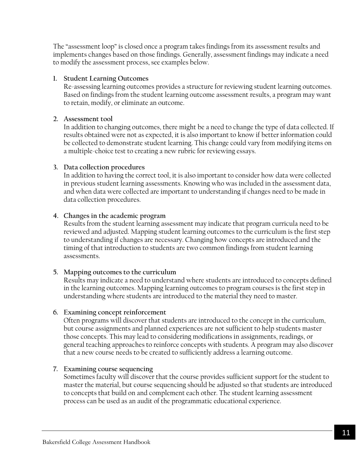The "assessment loop" is closed once a program takes findings from its assessment results and implements changes based on those findings. Generally, assessment findings may indicate a need to modify the assessment process, see examples below.

#### **1. Student Learning Outcomes**

Re-assessing learning outcomes provides a structure for reviewing student learning outcomes. Based on findings from the student learning outcome assessment results, a program may want to retain, modify, or eliminate an outcome.

#### **2. Assessment tool**

In addition to changing outcomes, there might be a need to change the type of data collected. If results obtained were not as expected, it is also important to know if better information could be collected to demonstrate student learning. This change could vary from modifying items on a multiple-choice test to creating a new rubric for reviewing essays.

#### **3. Data collection procedures**

In addition to having the correct tool, it is also important to consider how data were collected in previous student learning assessments. Knowing who was included in the assessment data, and when data were collected are important to understanding if changes need to be made in data collection procedures.

#### **4. Changes in the academic program**

Results from the student learning assessment may indicate that program curricula need to be reviewed and adjusted. Mapping student learning outcomes to the curriculum is the first step to understanding if changes are necessary. Changing how concepts are introduced and the timing of that introduction to students are two common findings from student learning assessments.

#### **5. Mapping outcomes to the curriculum**

Results may indicate a need to understand where students are introduced to concepts defined in the learning outcomes. Mapping learning outcomes to program courses is the first step in understanding where students are introduced to the material they need to master.

#### **6. Examining concept reinforcement**

Often programs will discover that students are introduced to the concept in the curriculum, but course assignments and planned experiences are not sufficient to help students master those concepts. This may lead to considering modifications in assignments, readings, or general teaching approaches to reinforce concepts with students. A program may also discover that a new course needs to be created to sufficiently address a learning outcome.

#### **7. Examining course sequencing**

Sometimes faculty will discover that the course provides sufficient support for the student to master the material, but course sequencing should be adjusted so that students are introduced to concepts that build on and complement each other. The student learning assessment process can be used as an audit of the programmatic educational experience.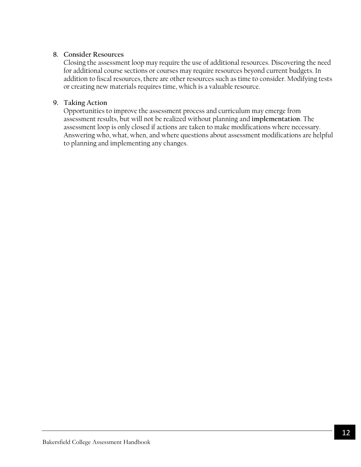#### **8. Consider Resources**

Closing the assessment loop may require the use of additional resources. Discovering the need for additional course sections or courses may require resources beyond current budgets. In addition to fiscal resources, there are other resources such as time to consider. Modifying tests or creating new materials requires time, which is a valuable resource.

#### **9. Taking Action**

Opportunities to improve the assessment process and curriculum may emerge from assessment results, but will not be realized without planning and **implementation**. The assessment loop is only closed if actions are taken to make modifications where necessary. Answering who, what, when, and where questions about assessment modifications are helpful to planning and implementing any changes.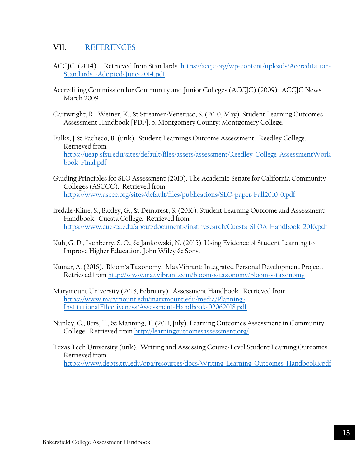## <span id="page-12-0"></span>**VII.** [REFERENCES](#page-12-0)

- ACCJC (2014). Retrieved from Standards. [https://accjc.org/wp-content/uploads/Accreditation-](https://accjc.org/wp-content/uploads/Accreditation-Standards_-Adopted-June-2014.pdf)[Standards\\_-Adopted-June-2014.pdf](https://accjc.org/wp-content/uploads/Accreditation-Standards_-Adopted-June-2014.pdf)
- Accrediting Commission for Community and Junior Colleges (ACCJC) (2009). ACCJC News March 2009.
- Cartwright, R., Weiner, K., & Streamer-Veneruso, S. (2010, May). Student Learning Outcomes Assessment Handbook [PDF]. 5, Montgomery County: Montgomery College.
- Fulks, J & Pacheco, B. (unk). Student Learnings Outcome Assessment. Reedley College. Retrieved from [https://ueap.sfsu.edu/sites/default/files/assets/assessment/Reedley\\_College\\_AssessmentWork](https://ueap.sfsu.edu/sites/default/files/assets/assessment/Reedley_College_AssessmentWorkbook_Final.pdf) [book\\_Final.pdf](https://ueap.sfsu.edu/sites/default/files/assets/assessment/Reedley_College_AssessmentWorkbook_Final.pdf)
- Guiding Principles for SLO Assessment (2010). The Academic Senate for California Community Colleges (ASCCC). Retrieved from [https://www.asccc.org/sites/default/files/publications/SLO-paper-Fall2010\\_0.pdf](https://www.asccc.org/sites/default/files/publications/SLO-paper-Fall2010_0.pdf)
- Iredale-Kline, S., Baxley, G., & Demarest, S. (2016). Student Learning Outcome and Assessment Handbook. Cuesta College. Retrieved from [https://www.cuesta.edu/about/documents/inst\\_research/Cuesta\\_SLOA\\_Handbook\\_2016.pdf](https://www.cuesta.edu/about/documents/inst_research/Cuesta_SLOA_Handbook_2016.pdf)
- Kuh, G. D., Ikenberry, S. O., & Jankowski, N. (2015). Using Evidence of Student Learning to Improve Higher Education. John Wiley & Sons.
- Kumar, A. (2016). Bloom's Taxonomy. MaxVibrant: Integrated Personal Development Project. Retrieved from<http://www.maxvibrant.com/bloom-s-taxonomy/bloom-s-taxonomy>
- Marymount University (2018, February). Assessment Handbook. Retrieved from [https://www.marymount.edu/marymount.edu/media/Planning-](https://www.marymount.edu/marymount.edu/media/Planning-InstitutionalEffectiveness/Assessment-Handbook-02062018.pdf)[InstitutionalEffectiveness/Assessment-Handbook-02062018.pdf](https://www.marymount.edu/marymount.edu/media/Planning-InstitutionalEffectiveness/Assessment-Handbook-02062018.pdf)
- Nunley, C., Bers, T., & Manning, T. (2011, July). Learning Outcomes Assessment in Community College. Retrieved from<http://learningoutcomesassessment.org/>
- Texas Tech University (unk). Writing and Assessing Course-Level Student Learning Outcomes. Retrieved from [https://www.depts.ttu.edu/opa/resources/docs/Writing\\_Learning\\_Outcomes\\_Handbook3.pdf](https://www.depts.ttu.edu/opa/resources/docs/Writing_Learning_Outcomes_Handbook3.pdf)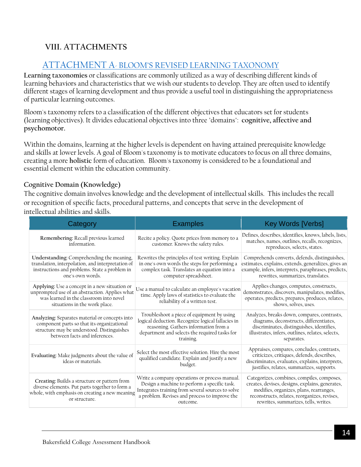## <span id="page-13-2"></span><span id="page-13-0"></span>**VIII. ATTACHMENTS**

## <span id="page-13-1"></span>ATTACHMENT A- BLOOM'S [REVISED LEARNING TAXONOMY](#page-13-2)

**Learning taxonomies** or classifications are commonly utilized as a way of describing different kinds of learning behaviors and characteristics that we wish our students to develop. They are often used to identify different stages of learning development and thus provide a useful tool in distinguishing the appropriateness of particular learning outcomes.

Bloom's taxonomy refers to a classification of the different objectives that educators set for students (learning objectives). It divides educational objectives into three "domains": **cognitive, affective and psychomotor.**

Within the domains, learning at the higher levels is dependent on having attained prerequisite knowledge and skills at lower levels. A goal of Bloom's taxonomy is to motivate educators to focus on all three domains, creating a more **holistic** form of education. Bloom's taxonomy is considered to be a foundational and essential element within the education community.

#### **Cognitive Domain (Knowledge)**

The cognitive domain involves knowledge and the development of intellectual skills. This includes the recall or recognition of specific facts, procedural patterns, and concepts that serve in the development of intellectual abilities and skills.

| Category                                                                                                                                                                    | <b>Examples</b>                                                                                                                                                                                                 | <b>Key Words [Verbs]</b>                                                                                                                                                                                                         |
|-----------------------------------------------------------------------------------------------------------------------------------------------------------------------------|-----------------------------------------------------------------------------------------------------------------------------------------------------------------------------------------------------------------|----------------------------------------------------------------------------------------------------------------------------------------------------------------------------------------------------------------------------------|
| Remembering: Recall previous learned<br>information.                                                                                                                        | Recite a policy. Quote prices from memory to a<br>customer. Knows the safety rules.                                                                                                                             | Defines, describes, identifies, knows, labels, lists,<br>matches, names, outlines, recalls, recognizes,<br>reproduces, selects, states.                                                                                          |
| Understanding: Comprehending the meaning,<br>translation, interpolation, and interpretation of<br>instructions and problems. State a problem in<br>one's own words.         | Rewrites the principles of test writing. Explain<br>in one's own words the steps for performing a<br>complex task. Translates an equation into a<br>computer spreadsheet.                                       | Comprehends converts, defends, distinguishes,<br>estimates, explains, extends, generalizes, gives an<br>example, infers, interprets, paraphrases, predicts,<br>rewrites, summarizes, translates.                                 |
| Applying: Use a concept in a new situation or<br>unprompted use of an abstraction. Applies what<br>was learned in the classroom into novel<br>situations in the work place. | Use a manual to calculate an employee's vacation<br>time. Apply laws of statistics to evaluate the<br>reliability of a written test.                                                                            | Applies changes, computes, constructs,<br>demonstrates, discovers, manipulates, modifies,<br>operates, predicts, prepares, produces, relates,<br>shows, solves, uses.                                                            |
| Analyzing: Separates material or concepts into<br>component parts so that its organizational<br>structure may be understood. Distinguishes<br>between facts and inferences. | Troubleshoot a piece of equipment by using<br>logical deduction. Recognize logical fallacies in<br>reasoning. Gathers information from a<br>department and selects the required tasks for<br>training.          | Analyzes, breaks down, compares, contrasts,<br>diagrams, deconstructs, differentiates,<br>discriminates, distinguishes, identifies,<br>illustrates, infers, outlines, relates, selects,<br>separates.                            |
| Evaluating: Make judgments about the value of<br>ideas or materials.                                                                                                        | Select the most effective solution. Hire the most<br>qualified candidate. Explain and justify a new<br>budget.                                                                                                  | Appraises, compares, concludes, contrasts,<br>criticizes, critiques, defends, describes,<br>discriminates, evaluates, explains, interprets,<br>justifies, relates, summarizes, supports.                                         |
| Creating: Builds a structure or pattern from<br>diverse elements. Put parts together to form a<br>whole, with emphasis on creating a new meaning<br>or structure.           | Write a company operations or process manual.<br>Design a machine to perform a specific task.<br>Integrates training from several sources to solve<br>a problem. Revises and process to improve the<br>outcome. | Categorizes, combines, compiles, composes,<br>creates, devises, designs, explains, generates,<br>modifies, organizes, plans, rearranges,<br>reconstructs, relates, reorganizes, revises,<br>rewrites, summarizes, tells, writes. |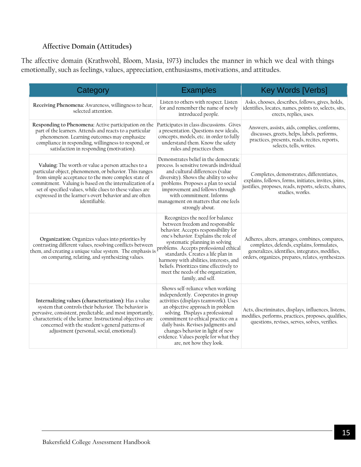#### **Affective Domain (Attitudes)**

The affective domain (Krathwohl, Bloom, Masia, 1973) includes the manner in which we deal with things emotionally, such as feelings, values, appreciation, enthusiasms, motivations, and attitudes.

| Category                                                                                                                                                                                                                                                                                                                                                                 | <b>Examples</b>                                                                                                                                                                                                                                                                                                                                                             | <b>Key Words [Verbs]</b>                                                                                                                                                                            |
|--------------------------------------------------------------------------------------------------------------------------------------------------------------------------------------------------------------------------------------------------------------------------------------------------------------------------------------------------------------------------|-----------------------------------------------------------------------------------------------------------------------------------------------------------------------------------------------------------------------------------------------------------------------------------------------------------------------------------------------------------------------------|-----------------------------------------------------------------------------------------------------------------------------------------------------------------------------------------------------|
| Receiving Phenomena: Awareness, willingness to hear,<br>selected attention.                                                                                                                                                                                                                                                                                              | Listen to others with respect. Listen<br>for and remember the name of newly<br>introduced people.                                                                                                                                                                                                                                                                           | Asks, chooses, describes, follows, gives, holds,<br>identifies, locates, names, points to, selects, sits,<br>erects, replies, uses.                                                                 |
| Responding to Phenomena: Active participation on the<br>part of the learners. Attends and reacts to a particular<br>phenomenon. Learning outcomes may emphasize<br>compliance in responding, willingness to respond, or<br>satisfaction in responding (motivation).                                                                                                      | Participates in class discussions. Gives<br>a presentation. Questions new ideals,<br>concepts, models, etc. in order to fully<br>understand them. Know the safety<br>rules and practices them.                                                                                                                                                                              | Answers, assists, aids, complies, conforms,<br>discusses, greets, helps, labels, performs,<br>practices, presents, reads, recites, reports,<br>selects, tells, writes.                              |
| Valuing: The worth or value a person attaches to a<br>particular object, phenomenon, or behavior. This ranges<br>from simple acceptance to the more complex state of<br>commitment. Valuing is based on the internalization of a<br>set of specified values, while clues to these values are<br>expressed in the learner's overt behavior and are often<br>identifiable. | Demonstrates belief in the democratic<br>process. Is sensitive towards individual<br>and cultural differences (value<br>diversity). Shows the ability to solve<br>problems. Proposes a plan to social<br>improvement and follows through<br>with commitment. Informs<br>management on matters that one feels<br>strongly about.                                             | Completes, demonstrates, differentiates,<br>explains, follows, forms, initiates, invites, joins,<br>justifies, proposes, reads, reports, selects, shares,<br>studies, works.                        |
| Organization: Organizes values into priorities by<br>contrasting different values, resolving conflicts between<br>them, and creating a unique value system. The emphasis is problems. Accepts professional ethical<br>on comparing, relating, and synthesizing values.                                                                                                   | Recognizes the need for balance<br>between freedom and responsible<br>behavior. Accepts responsibility for<br>one's behavior. Explains the role of<br>systematic planning in solving<br>harmony with abilities, interests, and<br>beliefs. Prioritizes time effectively to<br>meet the needs of the organization,<br>family, and self.                                      | Adheres, alters, arranges, combines, compares,<br>completes, defends, explains, formulates,<br>generalizes, identifies, integrates, modifies,<br>orders, organizes, prepares, relates, synthesizes. |
| Internalizing values (characterization): Has a value<br>system that controls their behavior. The behavior is<br>pervasive, consistent, predictable, and most importantly,<br>characteristic of the learner. Instructional objectives are<br>concerned with the student's general patterns of<br>adjustment (personal, social, emotional).                                | Shows self-reliance when working<br>independently. Cooperates in group<br>activities (displays teamwork). Uses<br>an objective approach in problem<br>solving. Displays a professional<br>commitment to ethical practice on a<br>daily basis. Revises judgments and<br>changes behavior in light of new<br>evidence. Values people for what they<br>are, not how they look. | Acts, discriminates, displays, influences, listens,<br>modifies, performs, practices, proposes, qualifies,<br>questions, revises, serves, solves, verifies.                                         |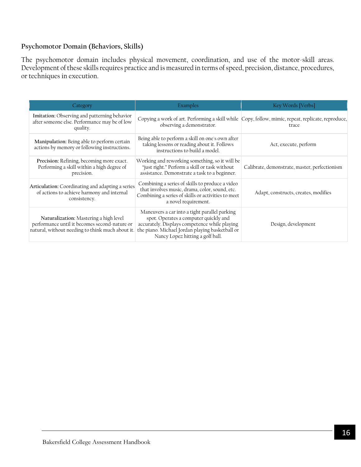#### **Psychomotor Domain (Behaviors, Skills)**

The psychomotor domain includes physical movement, coordination, and use of the motor-skill areas. Development of these skills requires practice and is measured in terms of speed, precision, distance, procedures, or techniques in execution.

| Category                                                                                                                                    | Examples                                                                                                                                                                                                                       | Key Words [Verbs]                                                                                           |
|---------------------------------------------------------------------------------------------------------------------------------------------|--------------------------------------------------------------------------------------------------------------------------------------------------------------------------------------------------------------------------------|-------------------------------------------------------------------------------------------------------------|
| Imitation: Observing and patterning behavior<br>after someone else. Performance may be of low<br>quality.                                   | observing a demonstrator.                                                                                                                                                                                                      | Copying a work of art. Performing a skill while Copy, follow, mimic, repeat, replicate, reproduce,<br>trace |
| Manipulation: Being able to perform certain<br>actions by memory or following instructions.                                                 | Being able to perform a skill on one's own after<br>taking lessons or reading about it. Follows<br>instructions to build a model.                                                                                              | Act, execute, perform                                                                                       |
| Precision: Refining, becoming more exact.<br>Performing a skill within a high degree of<br>precision.                                       | Working and reworking something, so it will be<br>"just right." Perform a skill or task without<br>assistance. Demonstrate a task to a beginner.                                                                               | Calibrate, demonstrate, master, perfectionism                                                               |
| Articulation: Coordinating and adapting a series<br>of actions to achieve harmony and internal<br>consistency.                              | Combining a series of skills to produce a video<br>that involves music, drama, color, sound, etc.<br>Combining a series of skills or activities to meet<br>a novel requirement.                                                | Adapt, constructs, creates, modifies                                                                        |
| Naturalization: Mastering a high level<br>performance until it becomes second-nature or<br>natural, without needing to think much about it. | Maneuvers a car into a tight parallel parking<br>spot. Operates a computer quickly and<br>accurately. Displays competence while playing<br>the piano. Michael Jordan playing basketball or<br>Nancy Lopez hitting a golf ball. | Design, development                                                                                         |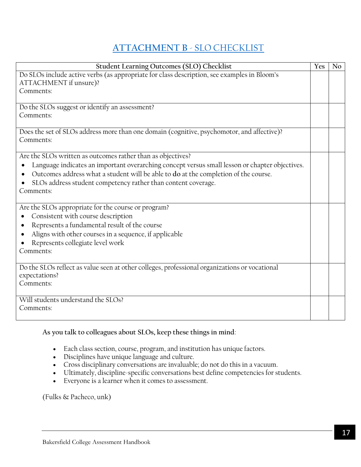# <span id="page-16-0"></span>**ATTACHMENT B** - [SLO CHECKLIST](#page-16-0)

| <b>Student Learning Outcomes (SLO) Checklist</b>                                                    | Yes | N <sub>o</sub> |
|-----------------------------------------------------------------------------------------------------|-----|----------------|
| Do SLOs include active verbs (as appropriate for class description, see examples in Bloom's         |     |                |
| ATTACHMENT if unsure)?                                                                              |     |                |
| Comments:                                                                                           |     |                |
|                                                                                                     |     |                |
| Do the SLOs suggest or identify an assessment?                                                      |     |                |
| Comments:                                                                                           |     |                |
|                                                                                                     |     |                |
| Does the set of SLOs address more than one domain (cognitive, psychomotor, and affective)?          |     |                |
| Comments:                                                                                           |     |                |
|                                                                                                     |     |                |
| Are the SLOs written as outcomes rather than as objectives?                                         |     |                |
| Language indicates an important overarching concept versus small lesson or chapter objectives.<br>٠ |     |                |
| Outcomes address what a student will be able to do at the completion of the course.<br>$\bullet$    |     |                |
| SLOs address student competency rather than content coverage.                                       |     |                |
| Comments:                                                                                           |     |                |
|                                                                                                     |     |                |
| Are the SLOs appropriate for the course or program?                                                 |     |                |
| Consistent with course description                                                                  |     |                |
| Represents a fundamental result of the course<br>$\bullet$                                          |     |                |
| Aligns with other courses in a sequence, if applicable<br>$\bullet$                                 |     |                |
| Represents collegiate level work                                                                    |     |                |
| Comments:                                                                                           |     |                |
|                                                                                                     |     |                |
| Do the SLOs reflect as value seen at other colleges, professional organizations or vocational       |     |                |
| expectations?                                                                                       |     |                |
| Comments:                                                                                           |     |                |
| Will students understand the SLOs?                                                                  |     |                |
| Comments:                                                                                           |     |                |
|                                                                                                     |     |                |

#### **As you talk to colleagues about SLOs, keep these things in mind**:

- Each class section, course, program, and institution has unique factors.
- Disciplines have unique language and culture.
- Cross disciplinary conversations are invaluable; do not do this in a vacuum.
- Ultimately, discipline-specific conversations best define competencies for students.
- Everyone is a learner when it comes to assessment.

<span id="page-16-1"></span>(Fulks & Pacheco, unk)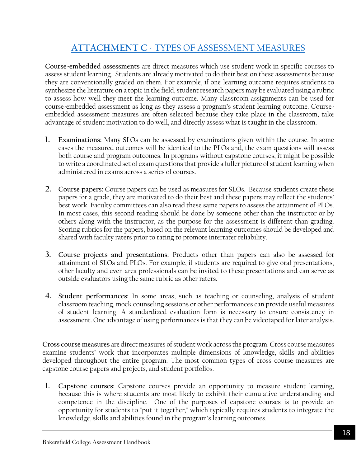# <span id="page-17-0"></span>**ATTACHMENT C** - [TYPES OF ASSESSMENT MEASURES](#page-16-1)

**Course-embedded assessments** are direct measures which use student work in specific courses to assess student learning. Students are already motivated to do their best on these assessments because they are conventionally graded on them. For example, if one learning outcome requires students to synthesize the literature on a topic in the field, student research papers may be evaluated using a rubric to assess how well they meet the learning outcome. Many classroom assignments can be used for course-embedded assessment as long as they assess a program's student learning outcome. Courseembedded assessment measures are often selected because they take place in the classroom, take advantage of student motivation to do well, and directly assess what is taught in the classroom.

- **1. Examinations:** Many SLOs can be assessed by examinations given within the course. In some cases the measured outcomes will be identical to the PLOs and, the exam questions will assess both course and program outcomes. In programs without capstone courses, it might be possible to write a coordinated set of exam questions that provide a fuller picture of student learning when administered in exams across a series of courses.
- **2. Course papers:** Course papers can be used as measures for SLOs. Because students create these papers for a grade, they are motivated to do their best and these papers may reflect the students' best work. Faculty committees can also read these same papers to assess the attainment of PLOs. In most cases, this second reading should be done by someone other than the instructor or by others along with the instructor, as the purpose for the assessment is different than grading. Scoring rubrics for the papers, based on the relevant learning outcomes should be developed and shared with faculty raters prior to rating to promote interrater reliability.
- **3. Course projects and presentations:** Products other than papers can also be assessed for attainment of SLOs and PLOs. For example, if students are required to give oral presentations, other faculty and even area professionals can be invited to these presentations and can serve as outside evaluators using the same rubric as other raters.
- **4. Student performances:** In some areas, such as teaching or counseling, analysis of student classroom teaching, mock counseling sessions or other performances can provide useful measures of student learning. A standardized evaluation form is necessary to ensure consistency in assessment. One advantage of using performances is that they can be videotaped for later analysis.

**Cross course measures** are direct measures of student work across the program. Cross course measures examine students' work that incorporates multiple dimensions of knowledge, skills and abilities developed throughout the entire program. The most common types of cross course measures are capstone course papers and projects, and student portfolios.

**1. Capstone courses:** Capstone courses provide an opportunity to measure student learning, because this is where students are most likely to exhibit their cumulative understanding and competence in the discipline. One of the purposes of capstone courses is to provide an opportunity for students to "put it together," which typically requires students to integrate the knowledge, skills and abilities found in the program's learning outcomes.